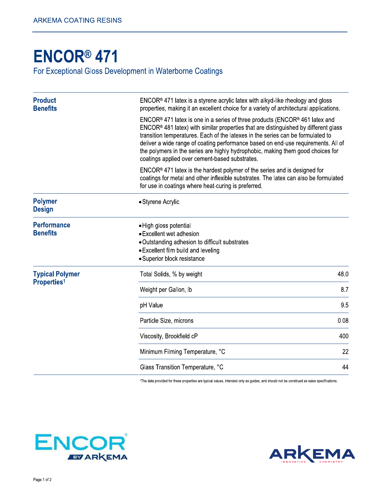## **ENCOR® 471**

For Exceptional Gloss Development in Waterborne Coatings

| coatings applied over cement-based substrates.                                                                                                                             |                                                                                                                                                                                                                                                                                                                                                                                                                                                                                                                                                                                                                                                                                                                                                                                                    |
|----------------------------------------------------------------------------------------------------------------------------------------------------------------------------|----------------------------------------------------------------------------------------------------------------------------------------------------------------------------------------------------------------------------------------------------------------------------------------------------------------------------------------------------------------------------------------------------------------------------------------------------------------------------------------------------------------------------------------------------------------------------------------------------------------------------------------------------------------------------------------------------------------------------------------------------------------------------------------------------|
| for use in coatings where heat-curing is preferred.                                                                                                                        |                                                                                                                                                                                                                                                                                                                                                                                                                                                                                                                                                                                                                                                                                                                                                                                                    |
| • Styrene Acrylic                                                                                                                                                          |                                                                                                                                                                                                                                                                                                                                                                                                                                                                                                                                                                                                                                                                                                                                                                                                    |
| • High gloss potential<br>• Excellent wet adhesion<br>• Outstanding adhesion to difficult substrates<br>• Excellent film build and leveling<br>· Superior block resistance |                                                                                                                                                                                                                                                                                                                                                                                                                                                                                                                                                                                                                                                                                                                                                                                                    |
| Total Solids, % by weight                                                                                                                                                  | 48.0                                                                                                                                                                                                                                                                                                                                                                                                                                                                                                                                                                                                                                                                                                                                                                                               |
| Weight per Gallon, Ib                                                                                                                                                      | 8.7                                                                                                                                                                                                                                                                                                                                                                                                                                                                                                                                                                                                                                                                                                                                                                                                |
| pH Value                                                                                                                                                                   | 9.5                                                                                                                                                                                                                                                                                                                                                                                                                                                                                                                                                                                                                                                                                                                                                                                                |
| Particle Size, microns                                                                                                                                                     | 0.08                                                                                                                                                                                                                                                                                                                                                                                                                                                                                                                                                                                                                                                                                                                                                                                               |
| Viscosity, Brookfield cP                                                                                                                                                   | 400                                                                                                                                                                                                                                                                                                                                                                                                                                                                                                                                                                                                                                                                                                                                                                                                |
| Minimum Filming Temperature, °C                                                                                                                                            | 22                                                                                                                                                                                                                                                                                                                                                                                                                                                                                                                                                                                                                                                                                                                                                                                                 |
| Glass Transition Temperature, °C                                                                                                                                           | 44                                                                                                                                                                                                                                                                                                                                                                                                                                                                                                                                                                                                                                                                                                                                                                                                 |
|                                                                                                                                                                            | $ENCOR®$ 471 latex is a styrene acrylic latex with alkyd-like rheology and gloss<br>properties, making it an excellent choice for a variety of architectural applications.<br>$ENCOR®$ 471 latex is one in a series of three products (ENCOR <sup>®</sup> 461 latex and<br>$ENCOR®$ 481 latex) with similar properties that are distinguished by different glass<br>transition temperatures. Each of the latexes in the series can be formulated to<br>deliver a wide range of coating performance based on end-use requirements. All of<br>the polymers in the series are highly hydrophobic, making them good choices for<br>$ENCOR®$ 471 latex is the hardest polymer of the series and is designed for<br>coatings for metal and other inflexible substrates. The latex can also be formulated |

<sup>1</sup>The data provided for these properties are typical values, intended only as guides, and should not be construed as sales specifications.